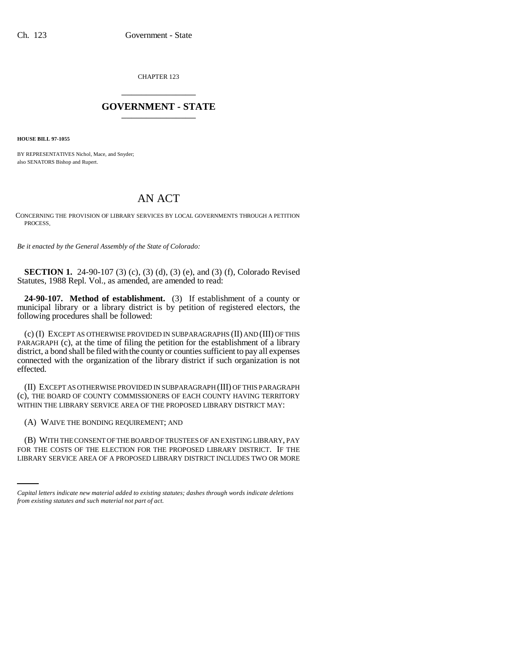CHAPTER 123 \_\_\_\_\_\_\_\_\_\_\_\_\_\_\_

## **GOVERNMENT - STATE** \_\_\_\_\_\_\_\_\_\_\_\_\_\_\_

**HOUSE BILL 97-1055**

BY REPRESENTATIVES Nichol, Mace, and Snyder; also SENATORS Bishop and Rupert.

## AN ACT

CONCERNING THE PROVISION OF LIBRARY SERVICES BY LOCAL GOVERNMENTS THROUGH A PETITION PROCESS.

*Be it enacted by the General Assembly of the State of Colorado:*

**SECTION 1.** 24-90-107 (3) (c), (3) (d), (3) (e), and (3) (f), Colorado Revised Statutes, 1988 Repl. Vol., as amended, are amended to read:

**24-90-107. Method of establishment.** (3) If establishment of a county or municipal library or a library district is by petition of registered electors, the following procedures shall be followed:

(c) (I) EXCEPT AS OTHERWISE PROVIDED IN SUBPARAGRAPHS (II) AND (III) OF THIS PARAGRAPH (c), at the time of filing the petition for the establishment of a library district, a bond shall be filed with the county or counties sufficient to pay all expenses connected with the organization of the library district if such organization is not effected.

(II) EXCEPT AS OTHERWISE PROVIDED IN SUBPARAGRAPH (III) OF THIS PARAGRAPH (c), THE BOARD OF COUNTY COMMISSIONERS OF EACH COUNTY HAVING TERRITORY WITHIN THE LIBRARY SERVICE AREA OF THE PROPOSED LIBRARY DISTRICT MAY:

(A) WAIVE THE BONDING REQUIREMENT; AND

(B) WITH THE CONSENT OF THE BOARD OF TRUSTEES OF AN EXISTING LIBRARY, PAY FOR THE COSTS OF THE ELECTION FOR THE PROPOSED LIBRARY DISTRICT. IF THE LIBRARY SERVICE AREA OF A PROPOSED LIBRARY DISTRICT INCLUDES TWO OR MORE

*Capital letters indicate new material added to existing statutes; dashes through words indicate deletions from existing statutes and such material not part of act.*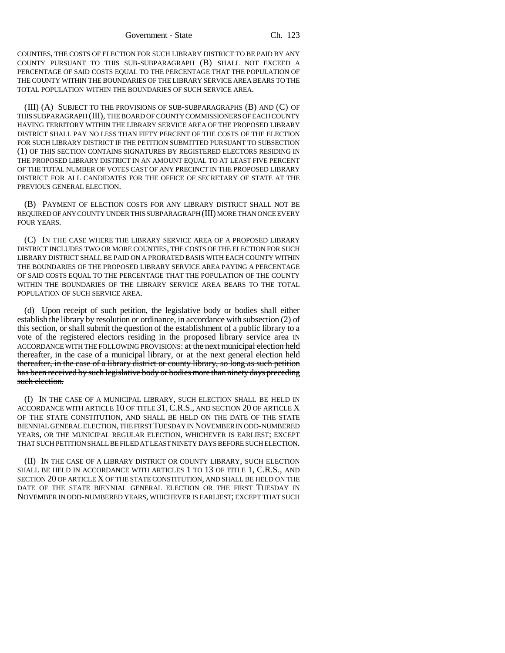COUNTIES, THE COSTS OF ELECTION FOR SUCH LIBRARY DISTRICT TO BE PAID BY ANY COUNTY PURSUANT TO THIS SUB-SUBPARAGRAPH (B) SHALL NOT EXCEED A PERCENTAGE OF SAID COSTS EQUAL TO THE PERCENTAGE THAT THE POPULATION OF THE COUNTY WITHIN THE BOUNDARIES OF THE LIBRARY SERVICE AREA BEARS TO THE TOTAL POPULATION WITHIN THE BOUNDARIES OF SUCH SERVICE AREA.

(III) (A) SUBJECT TO THE PROVISIONS OF SUB-SUBPARAGRAPHS (B) AND (C) OF THIS SUBPARAGRAPH (III), THE BOARD OF COUNTY COMMISSIONERS OF EACH COUNTY HAVING TERRITORY WITHIN THE LIBRARY SERVICE AREA OF THE PROPOSED LIBRARY DISTRICT SHALL PAY NO LESS THAN FIFTY PERCENT OF THE COSTS OF THE ELECTION FOR SUCH LIBRARY DISTRICT IF THE PETITION SUBMITTED PURSUANT TO SUBSECTION (1) OF THIS SECTION CONTAINS SIGNATURES BY REGISTERED ELECTORS RESIDING IN THE PROPOSED LIBRARY DISTRICT IN AN AMOUNT EQUAL TO AT LEAST FIVE PERCENT OF THE TOTAL NUMBER OF VOTES CAST OF ANY PRECINCT IN THE PROPOSED LIBRARY DISTRICT FOR ALL CANDIDATES FOR THE OFFICE OF SECRETARY OF STATE AT THE PREVIOUS GENERAL ELECTION.

(B) PAYMENT OF ELECTION COSTS FOR ANY LIBRARY DISTRICT SHALL NOT BE REQUIRED OF ANY COUNTY UNDER THIS SUBPARAGRAPH (III) MORE THAN ONCE EVERY FOUR YEARS.

(C) IN THE CASE WHERE THE LIBRARY SERVICE AREA OF A PROPOSED LIBRARY DISTRICT INCLUDES TWO OR MORE COUNTIES, THE COSTS OF THE ELECTION FOR SUCH LIBRARY DISTRICT SHALL BE PAID ON A PRORATED BASIS WITH EACH COUNTY WITHIN THE BOUNDARIES OF THE PROPOSED LIBRARY SERVICE AREA PAYING A PERCENTAGE OF SAID COSTS EQUAL TO THE PERCENTAGE THAT THE POPULATION OF THE COUNTY WITHIN THE BOUNDARIES OF THE LIBRARY SERVICE AREA BEARS TO THE TOTAL POPULATION OF SUCH SERVICE AREA.

(d) Upon receipt of such petition, the legislative body or bodies shall either establish the library by resolution or ordinance, in accordance with subsection (2) of this section, or shall submit the question of the establishment of a public library to a vote of the registered electors residing in the proposed library service area IN ACCORDANCE WITH THE FOLLOWING PROVISIONS: at the next municipal election held thereafter, in the case of a municipal library, or at the next general election held thereafter, in the case of a library district or county library, so long as such petition has been received by such legislative body or bodies more than ninety days preceding such election.

(I) IN THE CASE OF A MUNICIPAL LIBRARY, SUCH ELECTION SHALL BE HELD IN ACCORDANCE WITH ARTICLE 10 OF TITLE 31, C.R.S., AND SECTION 20 OF ARTICLE X OF THE STATE CONSTITUTION, AND SHALL BE HELD ON THE DATE OF THE STATE BIENNIAL GENERAL ELECTION, THE FIRST TUESDAY IN NOVEMBER IN ODD-NUMBERED YEARS, OR THE MUNICIPAL REGULAR ELECTION, WHICHEVER IS EARLIEST; EXCEPT THAT SUCH PETITION SHALL BE FILED AT LEAST NINETY DAYS BEFORE SUCH ELECTION.

(II) IN THE CASE OF A LIBRARY DISTRICT OR COUNTY LIBRARY, SUCH ELECTION SHALL BE HELD IN ACCORDANCE WITH ARTICLES 1 TO 13 OF TITLE 1, C.R.S., AND SECTION 20 OF ARTICLE X OF THE STATE CONSTITUTION, AND SHALL BE HELD ON THE DATE OF THE STATE BIENNIAL GENERAL ELECTION OR THE FIRST TUESDAY IN NOVEMBER IN ODD-NUMBERED YEARS, WHICHEVER IS EARLIEST; EXCEPT THAT SUCH